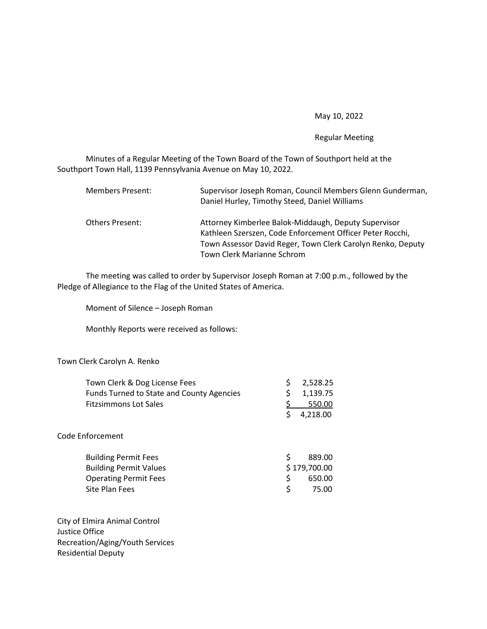## May 10, 2022

## Regular Meeting

 Minutes of a Regular Meeting of the Town Board of the Town of Southport held at the Southport Town Hall, 1139 Pennsylvania Avenue on May 10, 2022.

| Members Present:       | Supervisor Joseph Roman, Council Members Glenn Gunderman,<br>Daniel Hurley, Timothy Steed, Daniel Williams                                                                       |
|------------------------|----------------------------------------------------------------------------------------------------------------------------------------------------------------------------------|
| <b>Others Present:</b> | Attorney Kimberlee Balok-Middaugh, Deputy Supervisor<br>Kathleen Szerszen, Code Enforcement Officer Peter Rocchi,<br>Town Assessor David Reger, Town Clerk Carolyn Renko, Deputy |
|                        | Town Clerk Marianne Schrom                                                                                                                                                       |

 The meeting was called to order by Supervisor Joseph Roman at 7:00 p.m., followed by the Pledge of Allegiance to the Flag of the United States of America.

Moment of Silence – Joseph Roman

Monthly Reports were received as follows:

## Town Clerk Carolyn A. Renko

| Town Clerk & Dog License Fees                    | \$<br>2,528.25 |
|--------------------------------------------------|----------------|
| <b>Funds Turned to State and County Agencies</b> | \$<br>1,139.75 |
| <b>Fitzsimmons Lot Sales</b>                     | 550.00         |
|                                                  | \$<br>4,218.00 |
| Code Enforcement                                 |                |
| <b>Building Permit Fees</b>                      | \$<br>889.00   |
| <b>Building Permit Values</b>                    | \$179,700.00   |
| <b>Operating Permit Fees</b>                     | \$<br>650.00   |
| Site Plan Fees                                   | \$<br>75.00    |
|                                                  |                |
|                                                  |                |

City of Elmira Animal Control Justice Office Recreation/Aging/Youth Services Residential Deputy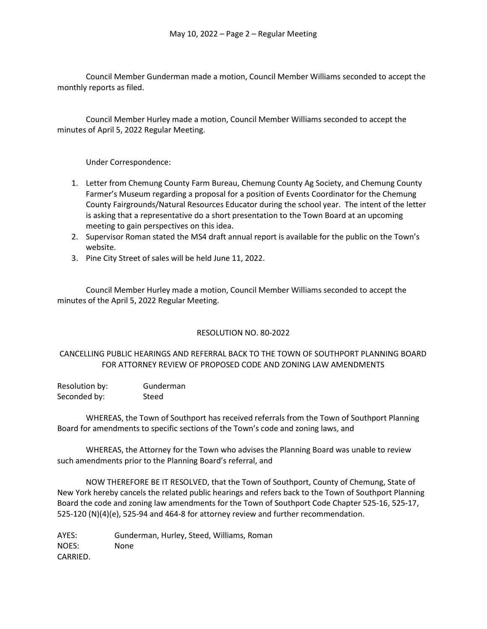Council Member Gunderman made a motion, Council Member Williams seconded to accept the monthly reports as filed.

 Council Member Hurley made a motion, Council Member Williams seconded to accept the minutes of April 5, 2022 Regular Meeting.

Under Correspondence:

- 1. Letter from Chemung County Farm Bureau, Chemung County Ag Society, and Chemung County Farmer's Museum regarding a proposal for a position of Events Coordinator for the Chemung County Fairgrounds/Natural Resources Educator during the school year. The intent of the letter is asking that a representative do a short presentation to the Town Board at an upcoming meeting to gain perspectives on this idea.
- 2. Supervisor Roman stated the MS4 draft annual report is available for the public on the Town's website.
- 3. Pine City Street of sales will be held June 11, 2022.

 Council Member Hurley made a motion, Council Member Williams seconded to accept the minutes of the April 5, 2022 Regular Meeting.

# RESOLUTION NO. 80-2022

# CANCELLING PUBLIC HEARINGS AND REFERRAL BACK TO THE TOWN OF SOUTHPORT PLANNING BOARD FOR ATTORNEY REVIEW OF PROPOSED CODE AND ZONING LAW AMENDMENTS

| Resolution by: | Gunderman |
|----------------|-----------|
| Seconded by:   | Steed     |

 WHEREAS, the Town of Southport has received referrals from the Town of Southport Planning Board for amendments to specific sections of the Town's code and zoning laws, and

 WHEREAS, the Attorney for the Town who advises the Planning Board was unable to review such amendments prior to the Planning Board's referral, and

 NOW THEREFORE BE IT RESOLVED, that the Town of Southport, County of Chemung, State of New York hereby cancels the related public hearings and refers back to the Town of Southport Planning Board the code and zoning law amendments for the Town of Southport Code Chapter 525-16, 525-17, 525-120 (N)(4)(e), 525-94 and 464-8 for attorney review and further recommendation.

AYES: Gunderman, Hurley, Steed, Williams, Roman NOES: None CARRIED.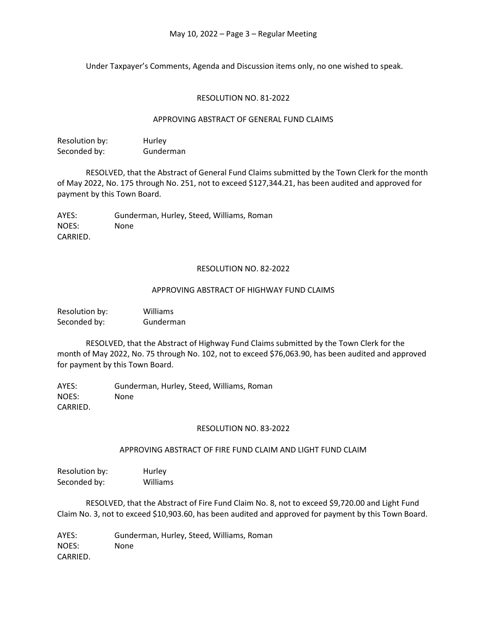Under Taxpayer's Comments, Agenda and Discussion items only, no one wished to speak.

#### RESOLUTION NO. 81-2022

#### APPROVING ABSTRACT OF GENERAL FUND CLAIMS

| Resolution by: | Hurley    |
|----------------|-----------|
| Seconded by:   | Gunderman |

 RESOLVED, that the Abstract of General Fund Claims submitted by the Town Clerk for the month of May 2022, No. 175 through No. 251, not to exceed \$127,344.21, has been audited and approved for payment by this Town Board.

AYES: Gunderman, Hurley, Steed, Williams, Roman NOES: None CARRIED.

#### RESOLUTION NO. 82-2022

## APPROVING ABSTRACT OF HIGHWAY FUND CLAIMS

Resolution by: Williams Seconded by: Gunderman

 RESOLVED, that the Abstract of Highway Fund Claims submitted by the Town Clerk for the month of May 2022, No. 75 through No. 102, not to exceed \$76,063.90, has been audited and approved for payment by this Town Board.

AYES: Gunderman, Hurley, Steed, Williams, Roman NOES: None CARRIED.

#### RESOLUTION NO. 83-2022

# APPROVING ABSTRACT OF FIRE FUND CLAIM AND LIGHT FUND CLAIM

Resolution by: Hurley Seconded by: Williams

 RESOLVED, that the Abstract of Fire Fund Claim No. 8, not to exceed \$9,720.00 and Light Fund Claim No. 3, not to exceed \$10,903.60, has been audited and approved for payment by this Town Board.

AYES: Gunderman, Hurley, Steed, Williams, Roman NOES: None CARRIED.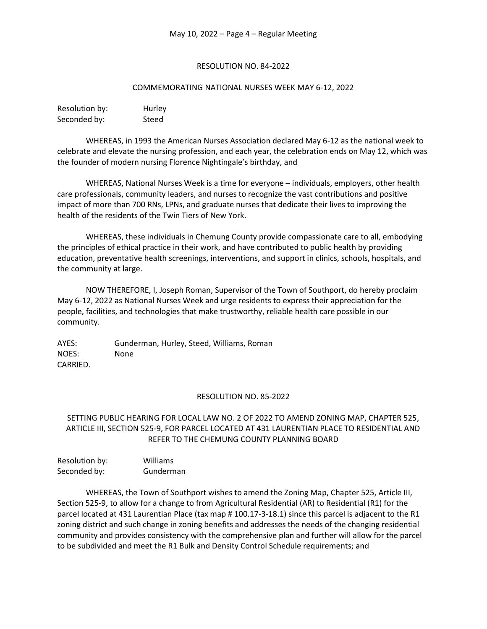## RESOLUTION NO. 84-2022

#### COMMEMORATING NATIONAL NURSES WEEK MAY 6-12, 2022

| Resolution by: | Hurley |
|----------------|--------|
| Seconded by:   | Steed  |

 WHEREAS, in 1993 the American Nurses Association declared May 6-12 as the national week to celebrate and elevate the nursing profession, and each year, the celebration ends on May 12, which was the founder of modern nursing Florence Nightingale's birthday, and

 WHEREAS, National Nurses Week is a time for everyone – individuals, employers, other health care professionals, community leaders, and nurses to recognize the vast contributions and positive impact of more than 700 RNs, LPNs, and graduate nurses that dedicate their lives to improving the health of the residents of the Twin Tiers of New York.

 WHEREAS, these individuals in Chemung County provide compassionate care to all, embodying the principles of ethical practice in their work, and have contributed to public health by providing education, preventative health screenings, interventions, and support in clinics, schools, hospitals, and the community at large.

 NOW THEREFORE, I, Joseph Roman, Supervisor of the Town of Southport, do hereby proclaim May 6-12, 2022 as National Nurses Week and urge residents to express their appreciation for the people, facilities, and technologies that make trustworthy, reliable health care possible in our community.

AYES: Gunderman, Hurley, Steed, Williams, Roman NOES: None CARRIED.

# RESOLUTION NO. 85-2022

# SETTING PUBLIC HEARING FOR LOCAL LAW NO. 2 OF 2022 TO AMEND ZONING MAP, CHAPTER 525, ARTICLE III, SECTION 525-9, FOR PARCEL LOCATED AT 431 LAURENTIAN PLACE TO RESIDENTIAL AND REFER TO THE CHEMUNG COUNTY PLANNING BOARD

| Resolution by: | Williams  |
|----------------|-----------|
| Seconded by:   | Gunderman |

WHEREAS, the Town of Southport wishes to amend the Zoning Map, Chapter 525, Article III, Section 525-9, to allow for a change to from Agricultural Residential (AR) to Residential (R1) for the parcel located at 431 Laurentian Place (tax map # 100.17-3-18.1) since this parcel is adjacent to the R1 zoning district and such change in zoning benefits and addresses the needs of the changing residential community and provides consistency with the comprehensive plan and further will allow for the parcel to be subdivided and meet the R1 Bulk and Density Control Schedule requirements; and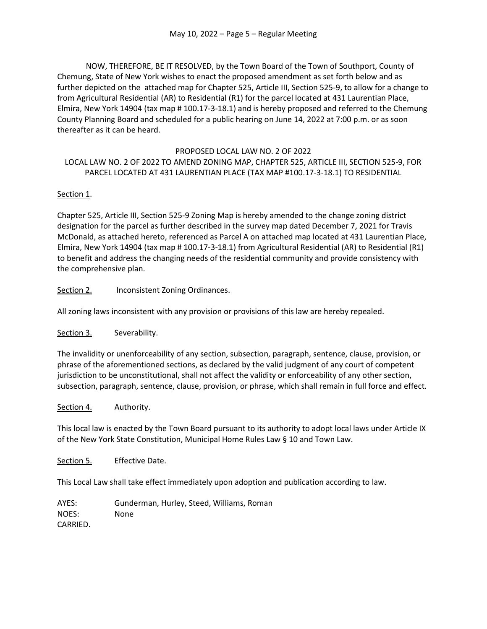NOW, THEREFORE, BE IT RESOLVED, by the Town Board of the Town of Southport, County of Chemung, State of New York wishes to enact the proposed amendment as set forth below and as further depicted on the attached map for Chapter 525, Article III, Section 525-9, to allow for a change to from Agricultural Residential (AR) to Residential (R1) for the parcel located at 431 Laurentian Place, Elmira, New York 14904 (tax map # 100.17-3-18.1) and is hereby proposed and referred to the Chemung County Planning Board and scheduled for a public hearing on June 14, 2022 at 7:00 p.m. or as soon thereafter as it can be heard.

# PROPOSED LOCAL LAW NO. 2 OF 2022

# LOCAL LAW NO. 2 OF 2022 TO AMEND ZONING MAP, CHAPTER 525, ARTICLE III, SECTION 525-9, FOR PARCEL LOCATED AT 431 LAURENTIAN PLACE (TAX MAP #100.17-3-18.1) TO RESIDENTIAL

# Section 1.

Chapter 525, Article III, Section 525-9 Zoning Map is hereby amended to the change zoning district designation for the parcel as further described in the survey map dated December 7, 2021 for Travis McDonald, as attached hereto, referenced as Parcel A on attached map located at 431 Laurentian Place, Elmira, New York 14904 (tax map # 100.17-3-18.1) from Agricultural Residential (AR) to Residential (R1) to benefit and address the changing needs of the residential community and provide consistency with the comprehensive plan.

Section 2. Inconsistent Zoning Ordinances.

All zoning laws inconsistent with any provision or provisions of this law are hereby repealed.

Section 3. Severability.

The invalidity or unenforceability of any section, subsection, paragraph, sentence, clause, provision, or phrase of the aforementioned sections, as declared by the valid judgment of any court of competent jurisdiction to be unconstitutional, shall not affect the validity or enforceability of any other section, subsection, paragraph, sentence, clause, provision, or phrase, which shall remain in full force and effect.

Section 4. Authority.

This local law is enacted by the Town Board pursuant to its authority to adopt local laws under Article IX of the New York State Constitution, Municipal Home Rules Law § 10 and Town Law.

Section 5. Effective Date.

This Local Law shall take effect immediately upon adoption and publication according to law.

AYES: Gunderman, Hurley, Steed, Williams, Roman NOES: None CARRIED.